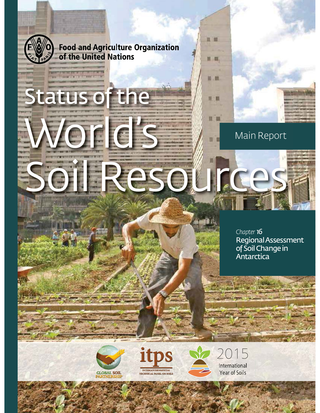# **Food and Agriculture Organization** of the United Nations

World's

Status of the

<u>manaman humaning an</u>

# Main Report

## *Chapter 16* Regional Assessment of Soil Change in **Antarctica**

© FAO | Giuseppe Bizzarri





**TResource** 

11 11 11

11 1 13

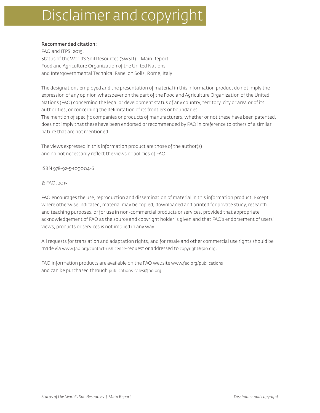# Disclaimer and copyright

#### Recommended citation:

FAO and ITPS. 2015. Status of the World's Soil Resources (SWSR) – Main Report. Food and Agriculture Organization of the United Nations and Intergovernmental Technical Panel on Soils, Rome, Italy

The designations employed and the presentation of material in this information product do not imply the expression of any opinion whatsoever on the part of the Food and Agriculture Organization of the United Nations (FAO) concerning the legal or development status of any country, territory, city or area or of its authorities, or concerning the delimitation of its frontiers or boundaries.

The mention of specific companies or products of manufacturers, whether or not these have been patented, does not imply that these have been endorsed or recommended by FAO in preference to others of a similar nature that are not mentioned.

The views expressed in this information product are those of the author(s) and do not necessarily reflect the views or policies of FAO.

ISBN 978-92-5-109004-6

© FAO, 2015

FAO encourages the use, reproduction and dissemination of material in this information product. Except where otherwise indicated, material may be copied, downloaded and printed for private study, research and teaching purposes, or for use in non-commercial products or services, provided that appropriate acknowledgement of FAO as the source and copyright holder is given and that FAO's endorsement of users' views, products or services is not implied in any way.

All requests for translation and adaptation rights, and for resale and other commercial use rights should be made via www.fao.org/contact-us/licence-request or addressed to copyright@fao.org.

FAO information products are available on the FAO website www.fao.org/publications and can be purchased through publications-sales@fao.org*.*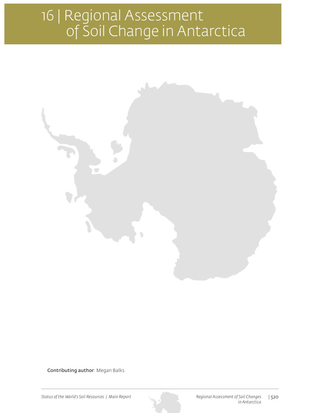# 16 | Regional Assessment of Soil Change in Antarctica



Contributing author: Megan Balks

*Status of the World's Soil Resources | Main Report Regional Assessment of Soil Changes* | *520*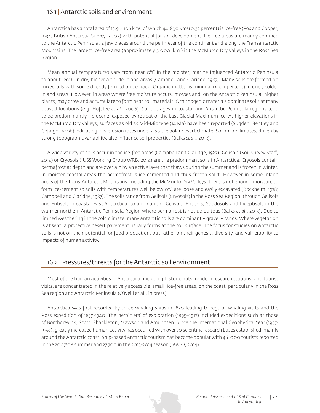### 16.1 | Antarctic soils and environment

Antarctica has a total area of 13.9 × 106 km2 , of which 44 890 km2 (0.32 percent) is ice-free (Fox and Cooper, 1994; British Antarctic Survey, 2005) with potential for soil development. Ice free areas are mainly confined to the Antarctic Peninsula, a few places around the perimeter of the continent and along the Transantarctic Mountains. The largest ice-free area (approximately 5 000 km2 ) is the McMurdo Dry Valleys in the Ross Sea Region.

Mean annual temperatures vary from near 0°C in the moister, marine influenced Antarctic Peninsula to about -20°C in dry, higher altitude inland areas (Campbell and Claridge, 1987). Many soils are formed on mixed tills with some directly formed on bedrock. Organic matter is minimal (< 0.1 percent) in drier, colder inland areas. However, in areas where free moisture occurs, mosses and, on the Antarctic Peninsula, higher plants, may grow and accumulate to form peat soil materials. Ornithogenic materials dominate soils at many coastal locations (e.g. Hofstee *et al.*, 2006). Surface ages in coastal and Antarctic Peninsula regions tend to be predominantly Holocene, exposed by retreat of the Last Glacial Maximum ice. At higher elevations in the McMurdo Dry Valleys, surfaces as old as Mid-Miocene (14 Ma) have been reported (Sugden, Bentley and Cofaigh, 2006) indicating low erosion rates under a stable polar desert climate. Soil microclimates, driven by strong topographic variability, also influence soil properties (Balks *et al.*, 2013).

A wide variety of soils occur in the ice-free areas (Campbell and Claridge, 1987). Gelisols (Soil Survey Staff, 2014) or Cryosols (IUSS Working Group WRB, 2014) are the predominant soils in Antarctica. Cryosols contain permafrost at depth and are overlain by an active layer that thaws during the summer and is frozen in winter. In moister coastal areas the permafrost is ice-cemented and thus 'frozen solid'. However in some inland areas of the Trans-Antarctic Mountains, including the McMurdo Dry Valleys, there is not enough moisture to form ice-cement so soils with temperatures well below  $\circ$ °C are loose and easily excavated (Bockheim, 1978; Campbell and Claridge, 1987). The soils range from Gelisols (Cryosols) in the Ross Sea Region, through Gelisols and Entisols in coastal East Antarctica, to a mixture of Gelisols, Entisols, Spodosols and Inceptisols in the warmer northern Antarctic Peninsula Region where permafrost is not ubiquitous (Balks *et al.*, 2013). Due to limited weathering in the cold climate, many Antarctic soils are dominantly gravelly sands. Where vegetation is absent, a protective desert pavement usually forms at the soil surface. The focus for studies on Antarctic soils is not on their potential for food production, but rather on their genesis, diversity, and vulnerability to impacts of human activity.

## 16.2 | Pressures/threats for the Antarctic soil environment

Most of the human activities in Antarctica, including historic huts, modern research stations, and tourist visits, are concentrated in the relatively accessible, small, ice-free areas, on the coast, particularly in the Ross Sea region and Antarctic Peninsula (O'Neill et al,. in press).

Antarctica was first recorded by three whaling ships in 1820 leading to regular whaling visits and the Ross expedition of 1839-1940. The 'heroic era' of exploration (1895–1917) included expeditions such as those of Borchgrevink, Scott, Shackleton, Mawson and Amundsen. Since the International Geophysical Year (1957- 1958), greatly increased human activity has occurred with over 70 scientific research bases established, mainly around the Antarctic coast. Ship-based Antarctic tourism has become popular with 46 000 tourists reported in the 2007/08 summer and 27 700 in the 2013-2014 season (IAATO, 2014).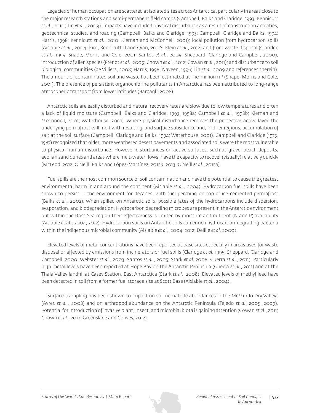Legacies of human occupation are scattered at isolated sites across Antarctica, particularly in areas close to the major research stations and semi-permanent field camps (Campbell, Balks and Claridge, 1993; Kennicutt *et al.*, 2010; Tin *et al.*, 2009). Impacts have included physical disturbance as a result of construction activities, geotechnical studies, and roading (Campbell, Balks and Claridge, 1993; Campbell, Claridge and Balks, 1994; Harris, 1998; Kennicutt *et al.*, 2010; Kiernan and McConnell, 2001); local pollution from hydrocarbon spills (Aislabie *et al.*, 2004; Kim, Kennicutt II and Qian, 2006; Klein *et al.*, 2012) and from waste disposal (Claridge *et al.*, 1995, Snape, Morris and Cole, 2001; Santos *et al.*, 2005; Sheppard, Claridge and Campbell, 2000); introduction of alien species (Frenot *et al.*, 2005; Chown *et al.*, 2012; Cowan *et al.*, 2011); and disturbance to soil biological communities (de Villiers, 2008; Harris, 1998; Naveen, 1996; Tin *et al.* 2009 and references therein). The amount of contaminated soil and waste has been estimated at 1-10 million m $^3$  (Snape, Morris and Cole, 2001). The presence of persistent organochlorine pollutants in Antarctica has been attributed to long-range atmospheric transport from lower latitudes (Bargagli, 2008).

Antarctic soils are easily disturbed and natural recovery rates are slow due to low temperatures and often a lack of liquid moisture (Campbell, Balks and Claridge, 1993, 1998a; Campbell *et al.*, 1998b; Kiernan and McConnell, 2001; Waterhouse, 2001). Where physical disturbance removes the protective 'active layer' the underlying permafrost will melt with resulting land surface subsidence and, in drier regions, accumulation of salt at the soil surface (Campbell, Claridge and Balks, 1994; Waterhouse, 2001). Campbell and Claridge (1975, 1987) recognized that older, more weathered desert pavements and associated soils were the most vulnerable to physical human disturbance. However disturbances on active surfaces, such as gravel beach deposits, aeolian sand dunes and areas where melt-water flows, have the capacity to recover (visually) relatively quickly (McLeod, 2012; O'Neill, Balks and López-Martínez, 2012b, 2013: O'Neill *et al.*, 2012a).

Fuel spills are the most common source of soil contamination and have the potential to cause the greatest environmental harm in and around the continent (Aislabie *et al.*, 2004). Hydrocarbon fuel spills have been shown to persist in the environment for decades, with fuel perching on top of ice-cemented permafrost (Balks *et al.*, 2002). When spilled on Antarctic soils, possible fates of the hydrocarbons include dispersion, evaporation, and biodegradation. Hydrocarbon degrading microbes are present in the Antarctic environment but within the Ross Sea region their effectiveness is limited by moisture and nutrient (N and P) availability (Aislabie *et al.*, 2004, 2012). Hydrocarbon spills on Antarctic soils can enrich hydrocarbon-degrading bacteria within the indigenous microbial community (Aislabie *et al.*, 2004, 2012; Delille *et al.* 2000).

Elevated levels of metal concentrations have been reported at base sites especially in areas used for waste disposal or affected by emissions from incinerators or fuel spills (Claridge *et al.* 1995; Sheppard, Claridge and Campbell, 2000; Webster *et al.*, 2003; Santos *et al.*, 2005; Stark *et al.* 2008; Guerra *et al.*, 2011). Particularly high metal levels have been reported at Hope Bay on the Antarctic Peninsula (Guerra *et al.*, 2011) and at the Thala Valley landfill at Casey Station, East Antarctica (Stark *et al.*, 2008). Elevated levels of methyl lead have been detected in soil from a former fuel storage site at Scott Base (Aislabie *et al.*, 2004).

Surface trampling has been shown to impact on soil nematode abundances in the McMurdo Dry Valleys (Ayres *et al.*, 2008) and on arthropod abundance on the Antarctic Peninsula (Tejedo *et al.* 2005, 2009). Potential for introduction of invasive plant, insect, and microbial biota is gaining attention (Cowan *et al.*, 2011; Chown *et al.*, 2012; Greenslade and Convey, 2012).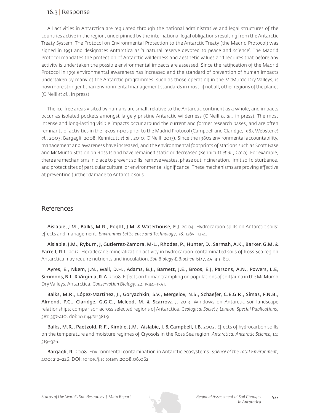#### 16.3 | Response

All activities in Antarctica are regulated through the national administrative and legal structures of the countries active in the region, underpinned by the international legal obligations resulting from the Antarctic Treaty System. The Protocol on Environmental Protection to the Antarctic Treaty (the Madrid Protocol) was signed in 1991 and designates Antarctica as 'a natural reserve devoted to peace and science'. The Madrid Protocol mandates the protection of Antarctic wilderness and aesthetic values and requires that before any activity is undertaken the possible environmental impacts are assessed. Since the ratification of the Madrid Protocol in 1991 environmental awareness has increased and the standard of prevention of human impacts undertaken by many of the Antarctic programmes, such as those operating in the McMurdo Dry Valleys, is now more stringent than environmental management standards in most, if not all, other regions of the planet (O'Neill *et al.*, in press).

The ice-free areas visited by humans are small, relative to the Antarctic continent as a whole, and impacts occur as isolated pockets amongst largely pristine Antarctic wilderness (O'Neill *et al.*, in press). The most intense and long-lasting visible impacts occur around the current and former research bases, and are often remnants of activities in the 1950s-1970s prior to the Madrid Protocol (Campbell and Claridge, 1987; Webster *et al.*, 2003; Bargagli, 2008; Kennicutt *et al.*, 2010; O'Neill, 2013). Since the 1980s environmental accountability, management and awareness have increased, and the environmental footprints of stations such as Scott Base and McMurdo Station on Ross Island have remained static or decreased (Kennicutt *et al.*, 2010). For example, there are mechanisms in place to prevent spills, remove wastes, phase out incineration, limit soil disturbance, and protect sites of particular cultural or environmental significance. These mechanisms are proving effective at preventing further damage to Antarctic soils.

### References

Aislabie, J.M., Balks, M.R., Foght, J.M. & Waterhouse, E.J. 2004. Hydrocarbon spills on Antarctic soils: effects and management. *Environmental Science and Technology*, 38: 1265–1274.

Aislabie, J.M., Ryburn, J, Gutierrez-Zamora, M-L., Rhodes, P., Hunter, D., Sarmah, A.K., Barker, G.M. & Farrell, R.L. 2012. Hexadecane mineralization activity in hydrocarbon-contaminated soils of Ross Sea region Antarctica may require nutrients and inoculation. *Soil Biology & Biochemistry*, 45: 49–60.

Ayres, E., Nkem, J.N., Wall, D.H., Adams, B.J., Barnett, J.E., Broos, E.J, Parsons, A.N., Powers, L.E, Simmons, B.L. & Virginia, R.A. 2008. Effects on human trampling on populations of soil fauna in the McMurdo Dry Valleys, Antarctica. *Conservation Biology*, 22: 1544–1551.

Balks, M.R., López-Martínez, J., Goryachkin, S.V., Mergelov, N.S., Schaefer, C.E.G.R., Simas, F.N.B., Almond, P.C., Claridge, G.G.C., Mcleod, M. & Scarrow, J. 2013. Windows on Antarctic soil-landscape relationships: comparison across selected regions of Antarctica. *Geological Society, London, Special Publications,*  381: 397-410. doi: 10.1144/SP 381.9

Balks, M.R., Paetzold, R.F., Kimble, J.M., Aislabie, J. & Campbell, I.B. 2002: Effects of hydrocarbon spills on the temperature and moisture regimes of Cryosols in the Ross Sea region, *Antarctica. Antarctic Science,* 14: 319–326.

Bargagli, R. 2008. Environmental contamination in Antarctic ecosystems. *Science of the Total Environment*, 400: 212–226. DOI: 10.1016/j.scitotenv.2008.06.062

*Status of the World's Soil Resources | Main Report Regional Assessment of Soil Changes* | *523*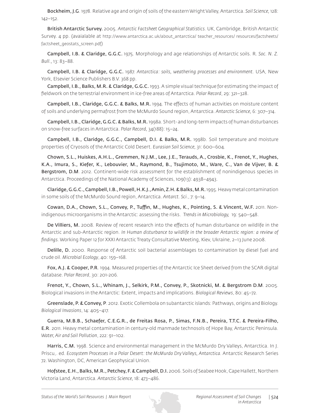Bockheim, J.G. 1978. Relative age and origin of soils of the eastern Wright Valley, Antarctica. *Soil Science,* 128: 142–152.

British Antarctic Survey. 2005. *Antarctic Factsheet Geographical Statistics.* UK, Cambridge, British Antarctic Survey. 4 pp. (avaialable at http://www.antarctica.ac.uk/about\_antarctica/ teacher\_resources/ resources/factsheets/ factsheet\_geostats\_screen.pdf)

Campbell, I.B. & Claridge, G.G.C. 1975. Morphology and age relationships of Antarctic soils. R. *Soc. N. Z. Bull.,* 13: 83–88.

Campbell, I.B. & Claridge, G.G.C. 1987. *Antarctica: soils, weathering processes and environment.* USA, New York, Elsevier Science Publishers B.V. 368 pp.

Campbell, I.B., Balks, M.R. & Claridge, G.G.C. 1993. A simple visual technique for estimating the impact of fieldwork on the terrestrial environment in ice-free areas of Antarctica. *Polar Record*, 29: 321–328.

Campbell, I.B., Claridge, G.G.C. & Balks, M.R. 1994. The effects of human activities on moisture content of soils and underlying permafrost from the McMurdo Sound region, Antarctica. *Antarctic Science,* 6: 307–314.

Campbell, I.B., Claridge, G.G.C. & Balks, M.R. 1998a. Short- and long-term impacts of human disturbances on snow-free surfaces in Antarctica. *Polar Record,* 34(188): 15–24.

Campbell, I.B., Claridge, G.G.C., Campbell, D.I. & Balks, M.R. 1998b. Soil temperature and moisture properties of Cryosols of the Antarctic Cold Desert. *Eurasian Soil Science,* 31: 600–604.

Chown, S.L., Huiskes, A.H.L., Gremmen, N.J.M., Lee, J.E., Terauds, A., Crosbie, K., Frenot, Y., Hughes, K.A., Imura, S., Kiefer, K., Lebouvier, M., Raymond, B., Tsujimoto, M., Ware, C., Van de Vijver, B. & Bergstrom, D.M. 2012. Continent-wide risk assessment for the establishment of nonindigenous species in Antarctica. Proceedings of the National Academy of Sciences, 109(13): 4938–4943.

Claridge, G.G.C., Campbell, I.B., Powell, H.K.J., Amin, Z.H. & Balks, M.R. 1995. Heavy metal contamination in some soils of the McMurdo Sound region, Antarctica. *Antarct. Sci*., 7: 9–14.

Cowan, D.A., Chown, S.L., Convey, P., Tuffin, M., Hughes, K., Pointing, S. & Vincent, W.F. 2011. Nonindigenous microorganisms in the Antarctic: assessing the risks. *Trends in Microbiology,* 19: 540–548.

De Villiers, M. 2008. Review of recent research into the effects of human disturbance on wildlife in the Antarctic and sub-Antarctic region. *In Human disturbance to wildlife in the broader Antarctic region: a review of findings.* Working Paper 12 for XXXI Antarctic Treaty Consultative Meeting, Kiev, Ukraine, 2–13 June 2008.

Delille, D. 2000. Response of Antarctic soil bacterial assemblages to contamination by diesel fuel and crude oil. *Microbial Ecology*, 40: 159–168.

Fox, A.J. & Cooper, P.R. 1994. Measured properties of the Antarctic Ice Sheet derived from the SCAR digital database. *Polar Record*, 30: 201-206.

Frenot, Y., Chown, S.L., Whinam, J., Selkirk, P.M., Convey, P., Skotnicki, M. & Bergstrom D.M. 2005. Biological invasions in the Antarctic: Extent, impacts and implications. *Biological Reviews*, 80: 45–72.

Greenslade, P. & Convey, P. 2012. Exotic Collembola on subantarctic islands: Pathways, origins and Biology. *Biological Invasions*, 14: 405–417.

Guerra, M.B.B., Schaefer, C.E.G.R., de Freitas Rosa, P., Simas, F.N.B., Pereira, T.T.C. & Pereira-Filho, E.R. 2011. Heavy metal contamination in century-old manmade technosols of Hope Bay, Antarctic Peninsula. *Water, Air and Soil Pollution*, 222: 91–102.

Harris, C.M. 1998. Science and environmental management in the McMurdo Dry Valleys, Antarctica. In J. Priscu,. ed. *Ecosystem Processes in a Polar Desert: the McMurdo Dry Valleys, Antarctica.* Antarctic Research Series 72. Washington, DC, American Geophysical Union.

Hofstee, E.H., Balks, M.R., Petchey, F. & Campbell, D.I. 2006. Soils of Seabee Hook, Cape Hallett, Northern Victoria Land, Antarctica. *Antarctic Science,* 18: 473–486.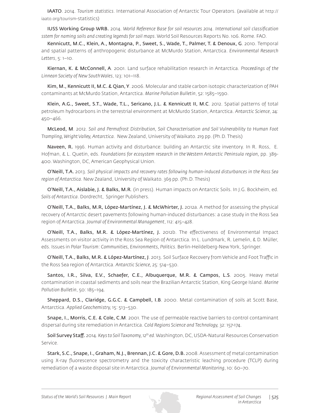IAATO. 2014. *Tourism statistics*. International Association of Antarctic Tour Operators. (available at http:// iaato.org/tourism-statistics)

IUSS Working Group WRB. 2014. *World Reference Base for soil resources 2014. International soil classification sstem for naming soils and creating legends for soil maps*. World Soil Resources Reports No. 106. Rome. FAO.

Kennicutt, M.C., Klein, A., Montagna, P., Sweet, S., Wade, T., Palmer, T. & Denoux, G. 2010. Temporal and spatial patterns of anthropogenic disturbance at McMurdo Station, Antarctica. *Environmental Research Letters*, 5: 1–10.

Kiernan, K. & McConnell, A. 2001. Land surface rehabilitation research in Antarctica. *Proceedings of the Linnean Society of New South Wales*, 123: 101–118.

Kim, M., Kennicutt II, M.C. & Qian, Y. 2006. Molecular and stable carbon isotopic characterization of PAH contaminants at McMurdo Station, Antarctica. *Marine Pollution Bulletin*, 52: 1585–1590.

Klein, A.G., Sweet, S.T., Wade, T.L., Sericano, J.L. & Kennicutt II, M.C. 2012. Spatial patterns of total petroleum hydrocarbons in the terrestrial environment at McMurdo Station, Antarctica. *Antarctic Science*, 24: 450–466.

McLeod, M. 2012. *Soil and Permafrost Distribution, Soil Characterisation and Soil Vulnerability to Human Foot Trampling, Wright Valley, Antarctica.* New Zealand, University of Waikato. 219 pp. (Ph.D. Thesis)

Naveen, R. 1996. Human activity and disturbance: building an Antarctic site inventory. In R. Ross, E. Hofman, & L. Quetin, eds. *Foundations for ecosystem research in the Western Antarctic Peninsula region,* pp. 389- 400. Washington, DC, American Geophysical Union.

O'Neill, T.A. 2013. *Soil physical impacts and recovery rates following human-induced disturbances in the Ross Sea region of Antarctica.* New Zealand, University of Waikato. 369 pp. (Ph.D. Thesis)

O'Neill, T.A., Aislabie, J. & Balks, M.R. (in press). Human impacts on Antarctic Soils. In J.G. Bockheim, ed. *Soils of Antarctica*. Dordrecht, Springer Publishers.

O'Neill, T.A., Balks, M.R, López-Martínez, J. & McWhirter, J. 2012a. A method for assessing the physical recovery of Antarctic desert pavements following human-induced disturbances: a case study in the Ross Sea region of Antarctica. *Journal of Environmental Management*, 112: 415–428.

O'Neill, T.A., Balks, M.R. & López-Martínez, J. 2012b. The effectiveness of Environmental Impact Assessments on visitor activity in the Ross Sea Region of Antarctica. In L. Lundmark, R. Lemelin, & D. Müller, eds. Issues in *Polar Tourism: Communities, Environments, Politics*. Berlin-Heildelberg-New York, Springer.

O'Neill, T.A., Balks, M.R. & López-Martínez, J. 2013. Soil Surface Recovery from Vehicle and Foot Traffic in the Ross Sea region of Antarctica. *Antarctic Science,* 25: 514–530.

Santos, I.R., Silva, E.V., Schaefer, C.E., Albuquerque, M.R. & Campos, L.S. 2005. Heavy metal contamination in coastal sediments and soils near the Brazilian Antarctic Station, King George Island. *Marine Pollution Bulletin*, 50: 185–194.

Sheppard, D.S., Claridge, G.G.C. & Campbell, I.B. 2000. Metal contamination of soils at Scott Base, Antarctica. *Applied Geochemistry,* 15: 513–530.

Snape, I., Morris, C.E. & Cole, C.M. 2001. The use of permeable reactive barriers to control contaminant dispersal during site remediation in Antarctica. *Cold Regions Science and Technology,* 32: 157-174.

Soil Survey Staff. 2014. *Keys to Soil Taxonomy, 12th ed.* Washington, DC, USDA-Natural Resources Conservation Service.

Stark, S.C., Snape, I., Graham, N.J., Brennan, J.C. & Gore, D.B. 2008. Assessment of metal contamination using X-ray fluorescence spectrometry and the toxicity characteristic leaching procedure (TCLP) during remediation of a waste disposal site in Antarctica. *Journal of Environmental Monitoring*, 10: 60–70.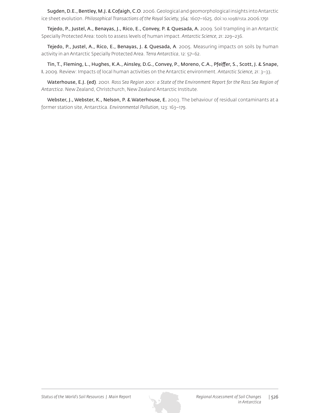Sugden, D.E., Bentley, M.J. & Cofaigh, C.O. 2006. Geological and geomorphological insights into Antarctic ice sheet evolution. *Philosophical Transactions of the Royal Society,* 364: 1607–1625. doi:10.1098/rsta.2006.1791

Tejedo, P., Justel, A., Benayas, J., Rico, E., Convey, P. & Quesada, A. 2009. Soil trampling in an Antarctic Specially Protected Area: tools to assess levels of human impact. *Antarctic Science,* 21: 229–236.

Tejedo, P., Justel, A., Rico, E., Benayas, J. & Quesada, A. 2005. Measuring impacts on soils by human activity in an Antarctic Specially Protected Area. *Terra Antarctica*, 12: 57–62.

Tin, T., Fleming, L., Hughes, K.A., Ainsley, D.G., Convey, P., Moreno, C.A., Pfeiffer, S., Scott, J. & Snape, I. 2009. Review: Impacts of local human activities on the Antarctic environment. *Antarctic Science,* 21: 3–33.

Waterhouse, E.J. (ed). 2001. *Ross Sea Region 2001: a State of the Environment Report for the Ross Sea Region of Antarctica*. New Zealand, Christchurch, New Zealand Antarctic Institute.

Webster, J., Webster, K., Nelson, P. & Waterhouse, E. 2003. The behaviour of residual contaminants at a former station site, Antarctica. *Environmental Pollution,* 123: 163–179.